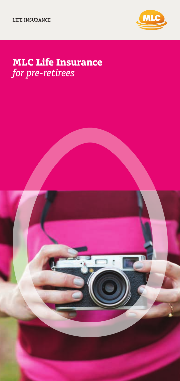

# **MLC Life Insurance** *for pre-retirees*

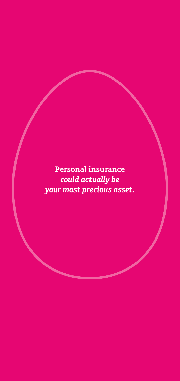**Personal insurance** *could actually be your most precious asset.*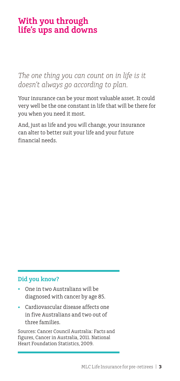# **With you through life's ups and downs**

*The one thing you can count on in life is it doesn't always go according to plan.* 

Your insurance can be your most valuable asset. It could very well be the one constant in life that will be there for you when you need it most.

And, just as life and you will change, your insurance can alter to better suit your life and your future financial needs.

### **Did you know?**

- One in two Australians will be diagnosed with cancer by age 85.
- Cardiovascular disease affects one in five Australians and two out of three families.

Sources: Cancer Council Australia: Facts and figures, Cancer in Australia, 2011. National Heart Foundation Statistics, 2009.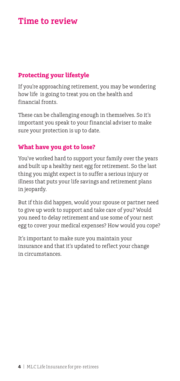### **Time to review**

### **Protecting your lifestyle**

If you're approaching retirement, you may be wondering how life is going to treat you on the health and financial fronts.

These can be challenging enough in themselves. So it's important you speak to your financial adviser to make sure your protection is up to date.

### **What have you got to lose?**

You've worked hard to support your family over the years and built up a healthy nest egg for retirement. So the last thing you might expect is to suffer a serious injury or illness that puts your life savings and retirement plans in jeopardy.

But if this did happen, would your spouse or partner need to give up work to support and take care of you? Would you need to delay retirement and use some of your nest egg to cover your medical expenses? How would you cope?

It's important to make sure you maintain your insurance and that it's updated to reflect your change in circumstances.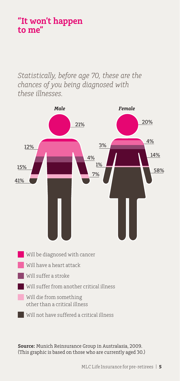# **"It won't happen to me"**

*Statistically, before age 70, these are the chances of you being diagnosed with these illnesses.*



**Source:** Munich Reinsurance Group in Australasia, 2009. (This graphic is based on those who are currently aged 30.)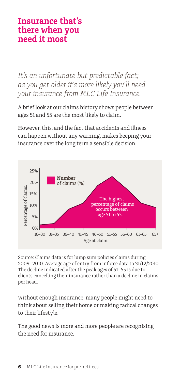### **Insurance that's there when you need it most**

*It's an unfortunate but predictable fact; as you get older it's more likely you'll need your insurance from MLC Life Insurance.* 

A brief look at our claims history shows people between ages 51 and 55 are the most likely to claim.

However, this, and the fact that accidents and illness can happen without any warning, makes keeping your insurance over the long term a sensible decision.



Source: Claims data is for lump sum policies claims during 2009–2010. Average age of entry from inforce data to 31/12/2010. The decline indicated after the peak ages of 51–55 is due to clients cancelling their insurance rather than a decline in claims per head.

Without enough insurance, many people might need to think about selling their home or making radical changes to their lifestyle.

The good news is more and more people are recognising the need for insurance.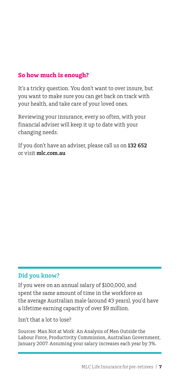### **So how much is enough?**

It's a tricky question. You don't want to over insure, but you want to make sure you can get back on track with your health, and take care of your loved ones.

Reviewing your insurance, every so often, with your financial adviser will keep it up to date with your changing needs.

If you don't have an adviser, please call us on **132 652** or visit **mlc.com.au**

### **Did you know?**

If you were on an annual salary of \$100,000, and spent the same amount of time in the workforce as the average Australian male (around 43 years), you'd have a lifetime earning capacity of over \$9 million.

Isn't that a lot to lose?

Sources: Man Not at Work: An Analysis of Men Outside the Labour Force, Productivity Commission, Australian Government, January 2007. Assuming your salary increases each year by 3%.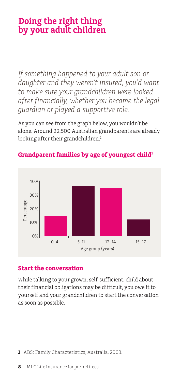# **Doing the right thing by your adult children**

*If something happened to your adult son or daughter and they weren't insured, you'd want to make sure your grandchildren were looked after financially, whether you became the legal guardian or played a supportive role.* 

As you can see from the graph below, you wouldn't be alone. Around 22,500 Australian grandparents are already looking after their grandchildren.<sup>1</sup>



### Grandparent families by age of youngest child<sup>1</sup>

### **Start the conversation**

While talking to your grown, self-sufficient, child about their financial obligations may be difficult, you owe it to yourself and your grandchildren to start the conversation as soon as possible.

**1** ABS: Family Characteristics, Australia, 2003.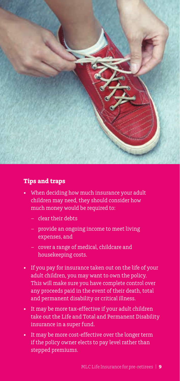

#### **Tips and traps**

- When deciding how much insurance your adult children may need, they should consider how much money would be required to:
	- clear their debts
	- provide an ongoing income to meet living expenses, and
	- cover a range of medical, childcare and housekeeping costs.
- If you pay for insurance taken out on the life of your adult children, you may want to own the policy. This will make sure you have complete control over any proceeds paid in the event of their death, total and permanent disability or critical illness.
- It may be more tax-effective if your adult children take out the Life and Total and Permanent Disability insurance in a super fund.
- $\blacksquare$ stepped premiums. It may be more cost-effective over the longer term if the policy owner elects to pay level rather than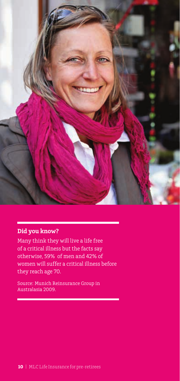

### **Did you know?**

Ė

Many think they will live a life free of a critical illness but the facts say otherwise, 59% of men and 42% of women will suffer a critical illness before they reach age 70.

Source: Munich Reinsurance Group in Australasia 2009.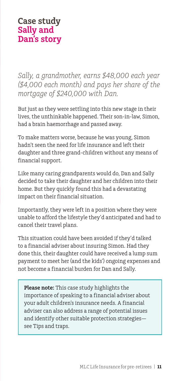*Sally, a grandmother, earns \$48,000 each year (\$4,000 each month) and pays her share of the mortgage of \$240,000 with Dan.*

But just as they were settling into this new stage in their lives, the unthinkable happened. Their son-in-law, Simon, had a brain haemorrhage and passed away.

To make matters worse, because he was young, Simon hadn't seen the need for life insurance and left their daughter and three grand-children without any means of financial support.

Like many caring grandparents would do, Dan and Sally decided to take their daughter and her children into their home. But they quickly found this had a devastating impact on their financial situation.

Importantly, they were left in a position where they were unable to afford the lifestyle they'd anticipated and had to cancel their travel plans.

This situation could have been avoided if they'd talked to a financial adviser about insuring Simon. Had they done this, their daughter could have received a lump sum payment to meet her (and the kids') ongoing expenses and not become a financial burden for Dan and Sally.

**Please note:** This case study highlights the importance of speaking to a financial adviser about your adult children's insurance needs. A financial adviser can also address a range of potential issues and identify other suitable protection strategies see Tips and traps.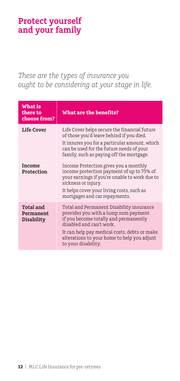# **Protect yourself and your family**

### *These are the types of insurance you ought to be considering at your stage in life.*

| What is<br>there to<br>choose from?         | What are the benefits?                                                                                                                                                                                                                                                      |
|---------------------------------------------|-----------------------------------------------------------------------------------------------------------------------------------------------------------------------------------------------------------------------------------------------------------------------------|
| Life Cover                                  | Life Cover helps secure the financial future<br>of those you'd leave behind if you died.<br>It insures you for a particular amount, which<br>can be used for the future needs of your<br>family, such as paying off the mortgage.                                           |
| Income<br>Protection                        | Income Protection gives you a monthly<br>income protection payment of up to 75% of<br>your earnings if you're unable to work due to<br>sickness or injury.<br>It helps cover your living costs, such as<br>mortgages and car repayments.                                    |
| <b>Total and</b><br>Permanent<br>Disability | Total and Permanent Disability insurance<br>provides you with a lump sum payment<br>if you become totally and permanently<br>disabled and can't work.<br>It can help pay medical costs, debts or make<br>alterations to your home to help you adjust<br>to your disability. |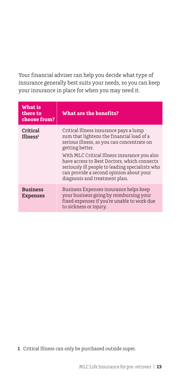Your financial adviser can help you decide what type of insurance generally best suits your needs, so you can keep your insurance in place for when you may need it.

| <b>What is</b><br>there to<br>choose from? | What are the benefits?                                                                                                                                                                                                                              |
|--------------------------------------------|-----------------------------------------------------------------------------------------------------------------------------------------------------------------------------------------------------------------------------------------------------|
| Critical<br>$I$ llness <sup>1</sup>        | Critical Illness insurance pays a lump<br>sum that lightens the financial load of a<br>serious illness, so you can concentrate on<br>getting better.<br>With MLC Critical Illness insurance you also<br>have access to Best Doctors, which connects |
|                                            | seriously ill people to leading specialists who<br>can provide a second opinion about your<br>diagnosis and treatment plan.                                                                                                                         |
| <b>Business</b><br><b>Expenses</b>         | Business Expenses insurance helps keep<br>your business going by reimbursing your<br>fixed expenses if you're unable to work due<br>to sickness or injury.                                                                                          |

**1** Critical Illness can only be purchased outside super.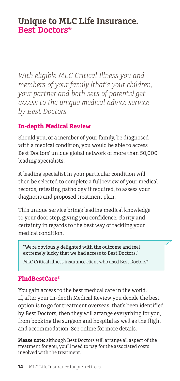### **Unique to MLC Life Insurance. Best Doctors®**

*With eligible MLC Critical Illness you and members of your family (that's your children, your partner and both sets of parents) get access to the unique medical advice service by Best Doctors.*

### **In-depth Medical Review**

Should you, or a member of your family, be diagnosed with a medical condition, you would be able to access Best Doctors' unique global network of more than 50,000 leading specialists.

A leading specialist in your particular condition will then be selected to complete a full review of your medical records, retesting pathology if required, to assess your diagnosis and proposed treatment plan.

This unique service brings leading medical knowledge to your door step, giving you confidence, clarity and certainty in regards to the best way of tackling your medical condition.

"We're obviously delighted with the outcome and feel extremely lucky that we had access to Best Doctors."

MLC Critical Illness insurance client who used Best Doctors®

### **FindBestCare®**

You gain access to the best medical care in the world. If, after your In-depth Medical Review you decide the best option is to go for treatment overseas that's been identified by Best Doctors, then they will arrange everything for you, from booking the surgeon and hospital as well as the flight and accommodation. See online for more details.

**Please note:** although Best Doctors will arrange all aspect of the treatment for you, you'll need to pay for the associated costs involved with the treatment.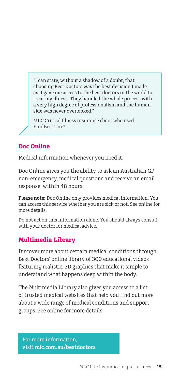"I can state, without a shadow of a doubt, that choosing Best Doctors was the best decision I made as it gave me access to the best doctors in the world to treat my illness. They handled the whole process with a very high degree of professionalism and the human side was never overlooked."

MLC Critical Illness insurance client who used FindBestCare®

### **Doc Online**

Medical information whenever you need it.

Doc Online gives you the ability to ask an Australian GP non-emergency, medical questions and receive an email response within 48 hours.

**Please note:** Doc Online only provides medical information. You can access this service whether you are sick or not. See online for more details.

Do not act on this information alone. You should always consult with your doctor for medical advice.

### **Multimedia Library**

Discover more about certain medical conditions through Best Doctors' online library of 300 educational videos featuring realistic, 3D graphics that make it simple to understand what happens deep within the body.

The Multimedia Library also gives you access to a list of trusted medical websites that help you find out more about a wide range of medical conditions and support groups. See online for more details.

For more information, visit **mlc.com.au/bestdoctors**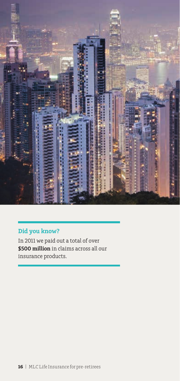

### **Did you know?**

In 2011 we paid out a total of over **\$500 million** in claims across all our insurance products.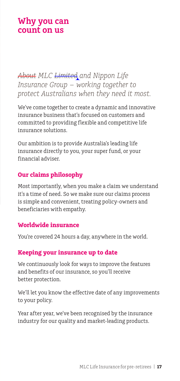### **Why you can count on us**

*About MLC Limited and Nippon Life Insurance Group – working together to protect Australians when they need it most.*

We've come together to create a dynamic and innovative insurance business that's focused on customers and committed to providing flexible and competitive life insurance solutions.

Our ambition is to provide Australia's leading life insurance directly to you, your super fund, or your financial adviser.

### **Our claims philosophy**

Most importantly, when you make a claim we understand it's a time of need. So we make sure our claims process is simple and convenient, treating policy-owners and beneficiaries with empathy.

#### **Worldwide insurance**

You're covered 24 hours a day, anywhere in the world.

### **Keeping your insurance up to date**

We continuously look for ways to improve the features and benefits of our insurance, so you'll receive better protection.

We'll let you know the effective date of any improvements to your policy.

Year after year, we've been recognised by the insurance industry for our quality and market-leading products.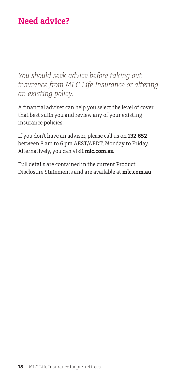# **Need advice?**

*You should seek advice before taking out insurance from MLC Life Insurance or altering an existing policy.* 

A financial adviser can help you select the level of cover that best suits you and review any of your existing insurance policies.

If you don't have an adviser, please call us on **132 652** between 8 am to 6 pm AEST/AEDT, Monday to Friday. Alternatively, you can visit **mlc.com.au**

Full details are contained in the current Product Disclosure Statements and are available at **mlc.com.au**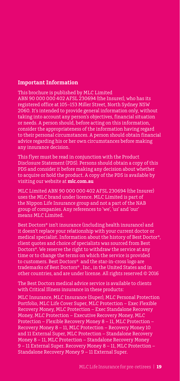#### **Important Information**

This brochure is published by MLC Limited ABN 90 000 000 402 AFSL 230694 (the Insurer), who has its registered office at 105–153 Miller Street, North Sydney NSW 2060. It's intended to provide general information only, without taking into account any person's objectives, financial situation or needs. A person should, before acting on this information, consider the appropriateness of the information having regard to their personal circumstances. A person should obtain financial advice regarding his or her own circumstances before making any insurance decision.

This flyer must be read in conjunction with the Product Disclosure Statement (PDS). Persons should obtain a copy of this PDS and consider it before making any decision about whether to acquire or hold the product. A copy of the PDS is available by visiting our website at **mlc.com.au**

MLC Limited ABN 90 000 000 402 AFSL 230694 (the Insurer) uses the MLC brand under licence. MLC Limited is part of the Nippon Life Insurance group and not a part of the NAB group of companies. Any references to 'we', 'us' and 'our' means MLC Limited.

Best Doctors® isn't insurance (including health insurance) and it doesn't replace your relationship with your current doctor or medical specialist. Information about the history of Best Doctor®, client quotes and choice of specialists was sourced from Best Doctors®. We reserve the right to withdraw the service at any time or to change the terms on which the service is provided to customers. Best Doctors® and the star-in-cross logo are trademarks of Best Doctors® , Inc., in the United States and in other countries, and are under license. All rights reserved © 2016

The Best Doctors medical advice service is available to clients with Critical Illness insurance in these products:

MLC Insurance, MLC Insurance (Super), MLC Personal Protection Portfolio, MLC Life Cover Super, MLC Protection – Exec Flexible Recovery Money, MLC Protection – Exec Standalone Recovery Money, MLC Protection – Executive Recovery Money, MLC Protection – Flexible Recovery Money 8 – 11, MLC Protection – Recovery Money 8 – 11, MLC Protection – Recovery Money 10 and 11 External Super, MLC Protection – Standalone Recovery Money 8 – 11, MLC Protection – Standalone Recovery Money 9 – 11 External Super. Recovery Money 8 – 11, MLC Protection – Standalone Recovery Money 9 – 11 External Super.